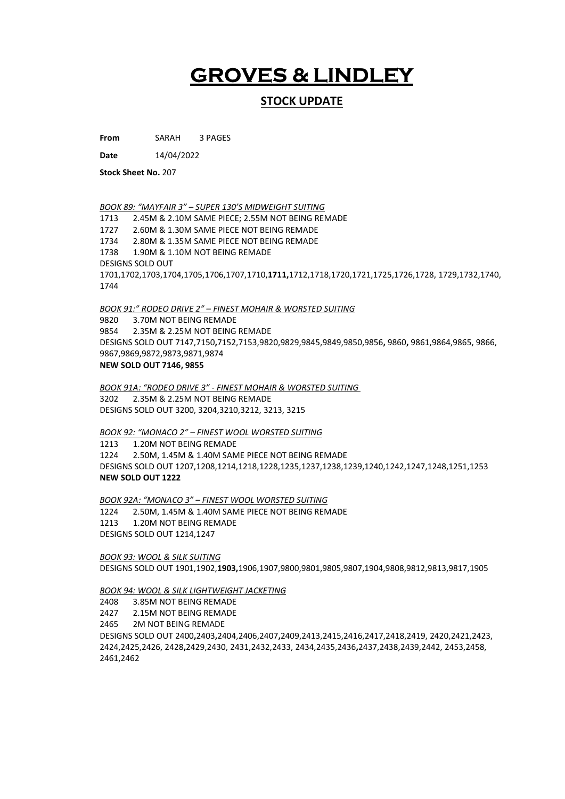## GROVES & LINDLEY

## STOCK UPDATE

From SARAH 3 PAGES

Date 14/04/2022

Stock Sheet No. 207

BOOK 89: "MAYFAIR 3" – SUPER 130'S MIDWEIGHT SUITING

1713 2.45M & 2.10M SAME PIECE; 2.55M NOT BEING REMADE 1727 2.60M & 1.30M SAME PIECE NOT BEING REMADE 1734 2.80M & 1.35M SAME PIECE NOT BEING REMADE 1738 1.90M & 1.10M NOT BEING REMADE DESIGNS SOLD OUT 1701,1702,1703,1704,1705,1706,1707,1710,1711,1712,1718,1720,1721,1725,1726,1728, 1729,1732,1740, 1744

BOOK 91:" RODEO DRIVE 2" – FINEST MOHAIR & WORSTED SUITING

9820 3.70M NOT BEING REMADE 9854 2.35M & 2.25M NOT BEING REMADE DESIGNS SOLD OUT 7147,7150,7152,7153,9820,9829,9845,9849,9850,9856, 9860, 9861,9864,9865, 9866, 9867,9869,9872,9873,9871,9874 NEW SOLD OUT 7146, 9855

BOOK 91A: "RODEO DRIVE 3" - FINEST MOHAIR & WORSTED SUITING 3202 2.35M & 2.25M NOT BEING REMADE DESIGNS SOLD OUT 3200, 3204,3210,3212, 3213, 3215

BOOK 92: "MONACO 2" – FINEST WOOL WORSTED SUITING

1213 1.20M NOT BEING REMADE 1224 2.50M, 1.45M & 1.40M SAME PIECE NOT BEING REMADE DESIGNS SOLD OUT 1207,1208,1214,1218,1228,1235,1237,1238,1239,1240,1242,1247,1248,1251,1253 NEW SOLD OUT 1222

BOOK 92A: "MONACO 3" – FINEST WOOL WORSTED SUITING 1224 2.50M, 1.45M & 1.40M SAME PIECE NOT BEING REMADE 1213 1.20M NOT BEING REMADE DESIGNS SOLD OUT 1214,1247

BOOK 93: WOOL & SILK SUITING DESIGNS SOLD OUT 1901,1902,1903,1906,1907,9800,9801,9805,9807,1904,9808,9812,9813,9817,1905

## BOOK 94: WOOL & SILK LIGHTWEIGHT JACKETING

2408 3.85M NOT BEING REMADE

2427 2.15M NOT BEING REMADE

2465 2M NOT BEING REMADE

DESIGNS SOLD OUT 2400,2403,2404,2406,2407,2409,2413,2415,2416,2417,2418,2419, 2420,2421,2423, 2424,2425,2426, 2428,2429,2430, 2431,2432,2433, 2434,2435,2436,2437,2438,2439,2442, 2453,2458, 2461,2462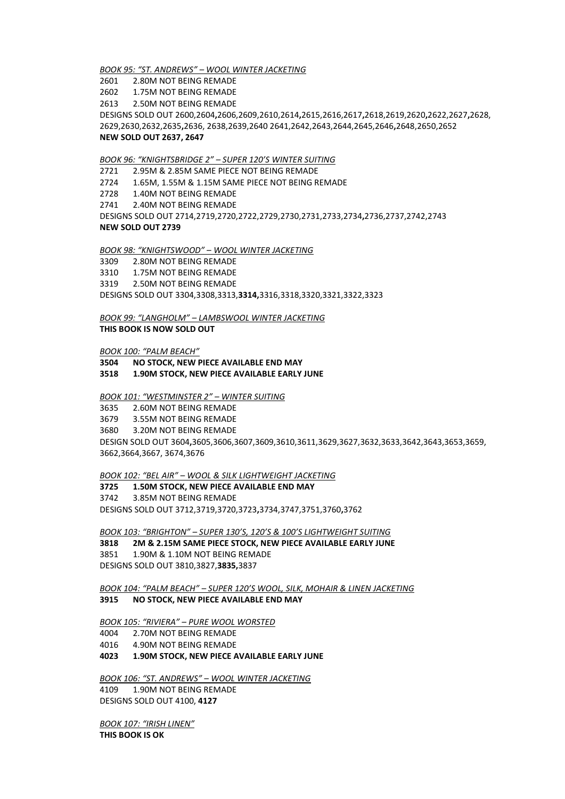BOOK 95: "ST. ANDREWS" – WOOL WINTER JACKETING

2601 2.80M NOT BEING REMADE

2602 1.75M NOT BEING REMADE

2613 2.50M NOT BEING REMADE

DESIGNS SOLD OUT 2600,2604,2606,2609,2610,2614,2615,2616,2617,2618,2619,2620,2622,2627,2628, 2629,2630,2632,2635,2636, 2638,2639,2640 2641,2642,2643,2644,2645,2646,2648,2650,2652 NEW SOLD OUT 2637, 2647

BOOK 96: "KNIGHTSBRIDGE 2" – SUPER 120'S WINTER SUITING

2721 2.95M & 2.85M SAME PIECE NOT BEING REMADE

2724 1.65M, 1.55M & 1.15M SAME PIECE NOT BEING REMADE

2728 1.40M NOT BEING REMADE

2741 2.40M NOT BEING REMADE

DESIGNS SOLD OUT 2714,2719,2720,2722,2729,2730,2731,2733,2734,2736,2737,2742,2743 NEW SOLD OUT 2739

BOOK 98: "KNIGHTSWOOD" – WOOL WINTER JACKETING

3309 2.80M NOT BEING REMADE

3310 1.75M NOT BEING REMADE

3319 2.50M NOT BEING REMADE

DESIGNS SOLD OUT 3304,3308,3313,3314,3316,3318,3320,3321,3322,3323

BOOK 99: "LANGHOLM" – LAMBSWOOL WINTER JACKETING THIS BOOK IS NOW SOLD OUT

BOOK 100: "PALM BEACH"

3504 NO STOCK, NEW PIECE AVAILABLE END MAY

3518 1.90M STOCK, NEW PIECE AVAILABLE EARLY JUNE

BOOK 101: "WESTMINSTER 2" – WINTER SUITING

3635 2.60M NOT BEING REMADE 3679 3.55M NOT BEING REMADE 3680 3.20M NOT BEING REMADE DESIGN SOLD OUT 3604,3605,3606,3607,3609,3610,3611,3629,3627,3632,3633,3642,3643,3653,3659, 3662,3664,3667, 3674,3676

BOOK 102: "BEL AIR" – WOOL & SILK LIGHTWEIGHT JACKETING

3725 1.50M STOCK, NEW PIECE AVAILABLE END MAY

3742 3.85M NOT BEING REMADE DESIGNS SOLD OUT 3712,3719,3720,3723,3734,3747,3751,3760,3762

BOOK 103: "BRIGHTON" – SUPER 130'S, 120'S & 100'S LIGHTWEIGHT SUITING 3818 2M & 2.15M SAME PIECE STOCK, NEW PIECE AVAILABLE EARLY JUNE 3851 1.90M & 1.10M NOT BEING REMADE DESIGNS SOLD OUT 3810,3827,3835,3837

BOOK 104: "PALM BEACH" – SUPER 120'S WOOL, SILK, MOHAIR & LINEN JACKETING 3915 NO STOCK, NEW PIECE AVAILABLE END MAY

BOOK 105: "RIVIERA" – PURE WOOL WORSTED

4004 2.70M NOT BEING REMADE

4016 4.90M NOT BEING REMADE

4023 1.90M STOCK, NEW PIECE AVAILABLE EARLY JUNE

BOOK 106: "ST. ANDREWS" – WOOL WINTER JACKETING 4109 1.90M NOT BEING REMADE DESIGNS SOLD OUT 4100, 4127

BOOK 107: "IRISH LINEN" THIS BOOK IS OK